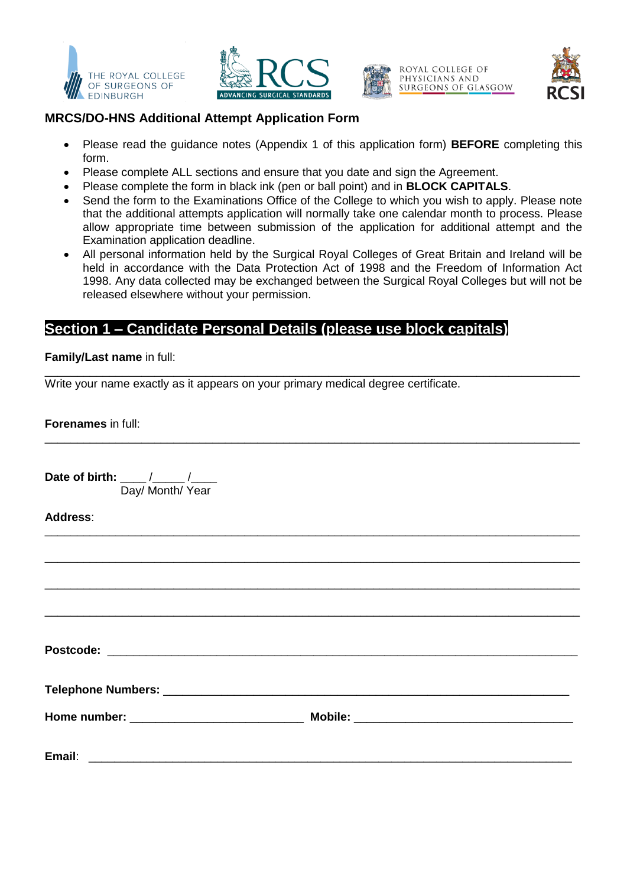







## **MRCS/DO-HNS Additional Attempt Application Form**

- Please read the guidance notes (Appendix 1 of this application form) **BEFORE** completing this form.
- Please complete ALL sections and ensure that you date and sign the Agreement.
- Please complete the form in black ink (pen or ball point) and in **BLOCK CAPITALS**.
- Send the form to the Examinations Office of the College to which you wish to apply. Please note that the additional attempts application will normally take one calendar month to process. Please allow appropriate time between submission of the application for additional attempt and the Examination application deadline.
- All personal information held by the Surgical Royal Colleges of Great Britain and Ireland will be held in accordance with the Data Protection Act of 1998 and the Freedom of Information Act 1998. Any data collected may be exchanged between the Surgical Royal Colleges but will not be released elsewhere without your permission.

# **Section 1 – Candidate Personal Details (please use block capitals)**

#### **Family/Last name** in full:

\_\_\_\_\_\_\_\_\_\_\_\_\_\_\_\_\_\_\_\_\_\_\_\_\_\_\_\_\_\_\_\_\_\_\_\_\_\_\_\_\_\_\_\_\_\_\_\_\_\_\_\_\_\_\_\_\_\_\_\_\_\_\_\_\_\_\_\_\_\_\_\_\_\_\_\_\_\_\_\_\_\_\_ Write your name exactly as it appears on your primary medical degree certificate.

**Forenames** in full:

| Date of birth: ____/____/____<br>Day/ Month/ Year |  |
|---------------------------------------------------|--|
| Address:                                          |  |
|                                                   |  |
|                                                   |  |
|                                                   |  |
|                                                   |  |
|                                                   |  |
|                                                   |  |
|                                                   |  |

\_\_\_\_\_\_\_\_\_\_\_\_\_\_\_\_\_\_\_\_\_\_\_\_\_\_\_\_\_\_\_\_\_\_\_\_\_\_\_\_\_\_\_\_\_\_\_\_\_\_\_\_\_\_\_\_\_\_\_\_\_\_\_\_\_\_\_\_\_\_\_\_\_\_\_\_\_\_\_\_\_\_\_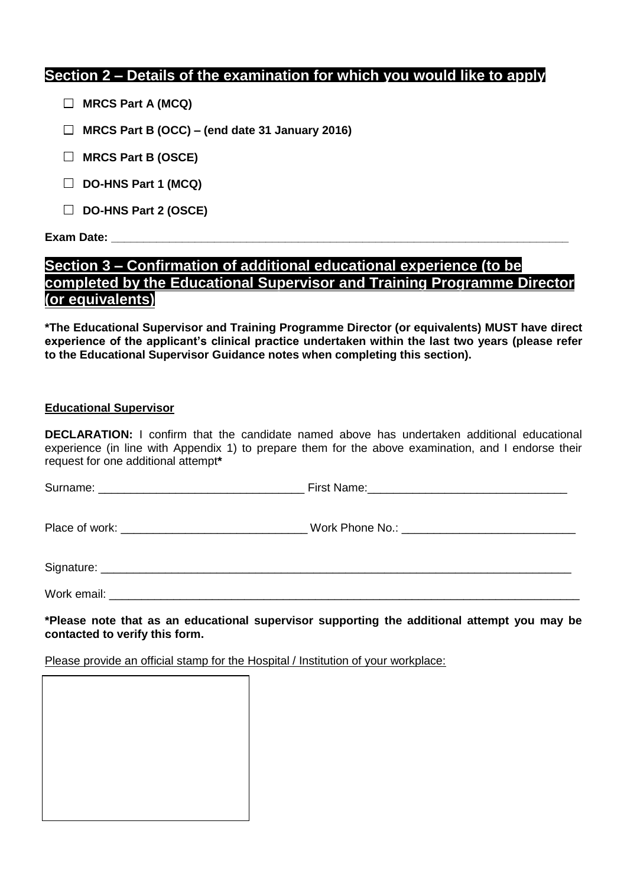# **Section 2 – Details of the examination for which you would like to apply**

- **MRCS Part A (MCQ)**
- **MRCS Part B (OCC) – (end date 31 January 2016)**
- **MRCS Part B (OSCE)**
- **DO-HNS Part 1 (MCQ)**
- **DO-HNS Part 2 (OSCE)**

#### **Exam Date:**

# **Section 3 – Confirmation of additional educational experience (to be completed by the Educational Supervisor and Training Programme Director (or equivalents)**

**\*The Educational Supervisor and Training Programme Director (or equivalents) MUST have direct experience of the applicant's clinical practice undertaken within the last two years (please refer to the Educational Supervisor Guidance notes when completing this section).** 

#### **Educational Supervisor**

**DECLARATION:** I confirm that the candidate named above has undertaken additional educational experience (in line with Appendix 1) to prepare them for the above examination, and I endorse their request for one additional attempt**\***

| Work email: |  |
|-------------|--|

**\*Please note that as an educational supervisor supporting the additional attempt you may be contacted to verify this form.**

Please provide an official stamp for the Hospital / Institution of your workplace: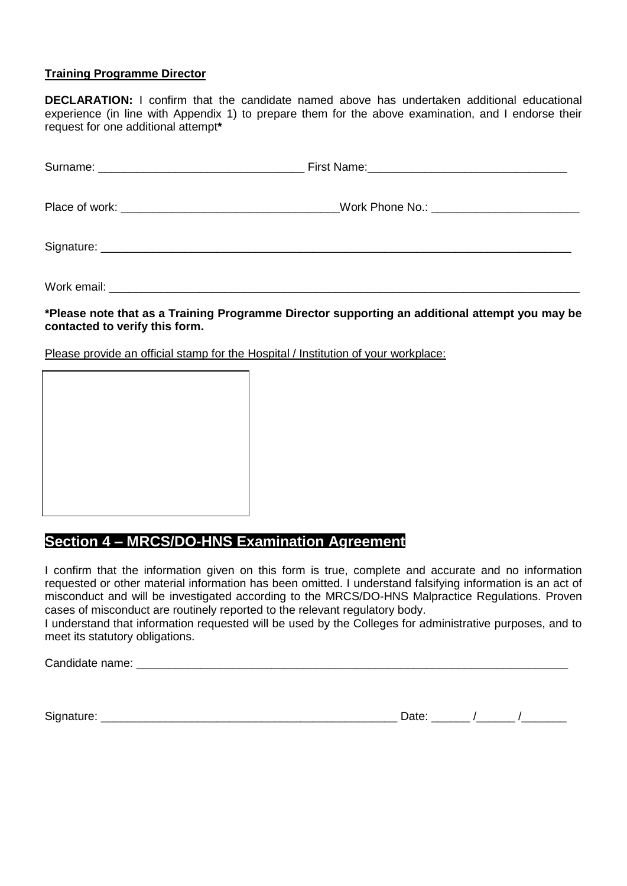### **Training Programme Director**

**DECLARATION:** I confirm that the candidate named above has undertaken additional educational experience (in line with Appendix 1) to prepare them for the above examination, and I endorse their request for one additional attempt**\***

Work email:  $\blacksquare$ 

### **\*Please note that as a Training Programme Director supporting an additional attempt you may be contacted to verify this form.**

Please provide an official stamp for the Hospital / Institution of your workplace:



# **Section 4 – MRCS/DO-HNS Examination Agreement**

I confirm that the information given on this form is true, complete and accurate and no information requested or other material information has been omitted. I understand falsifying information is an act of misconduct and will be investigated according to the MRCS/DO-HNS Malpractice Regulations. Proven cases of misconduct are routinely reported to the relevant regulatory body.

I understand that information requested will be used by the Colleges for administrative purposes, and to meet its statutory obligations.

Candidate name: \_\_\_\_\_\_\_\_\_\_\_\_\_\_\_\_\_\_\_\_\_\_\_\_\_\_\_\_\_\_\_\_\_\_\_\_\_\_\_\_\_\_\_\_\_\_\_\_\_\_\_\_\_\_\_\_\_\_\_\_\_\_\_\_\_\_\_

Signature:

| ים†בּו |  |  |
|--------|--|--|
|--------|--|--|